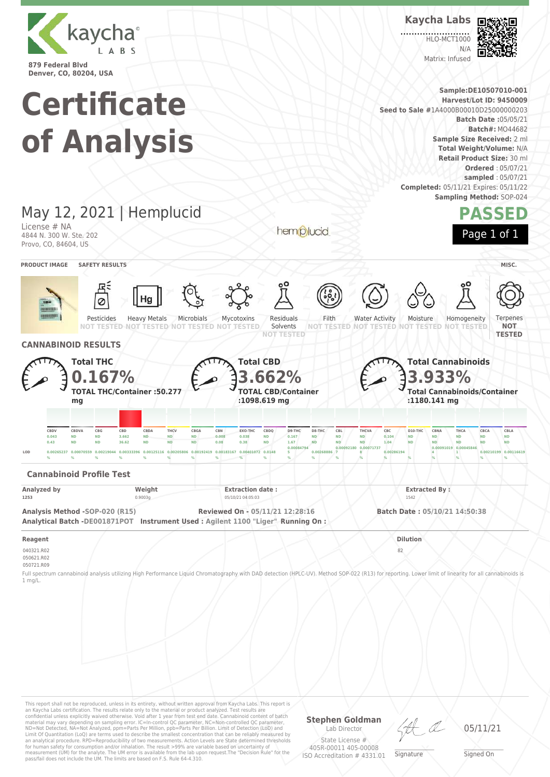

**Kaycha Labs**

**HLO-MCT1000**  $N/L$ Matrix: Infused





This report shall not be reproduced, unless in its entirety, without written approval from Kaycha Labs. This report is an Kaycha Labs certification. The results relate only to the material or product analyzed. Test results are<br>confidential unless explicitly waived otherwise. Void after 1 year from test end date. Cannabinoid content of bat Limit Of Quantitation (LoQ) are terms used to describe the smallest concentration that can be reliably measured by an analytical procedure. RPD=Reproducibility of two measurements. Action Levels are State determined thresholds for human safety for consumption and/or inhalation. The result >99% are variable based on uncertainty of measurement (UM) for the analyte. The UM error is available from the lab upon request.The "Decision Rule" for the pass/fail does not include the UM. The limits are based on F.S. Rule 64-4.310.

**Stephen Goldman** Lab Director

State License # 405R-00011 405-00008 ISO Accreditation # 4331.01

\_\_\_\_\_\_\_\_\_\_\_\_\_\_\_\_\_\_\_ Signature

05/11/21

\_\_\_\_\_\_\_\_\_\_\_\_\_\_\_\_\_\_\_ Signed On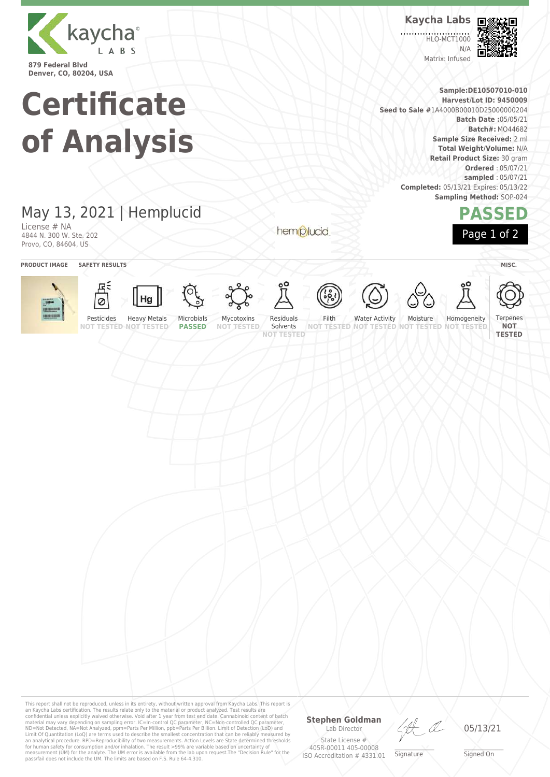

**Kaycha Labs**

**HLO-MCT1000** N/A Matrix: Infused



**PASSED**

Page 1 of 2

**Sample:DE10507010-010 Harvest/Lot ID: 9450009 Seed to Sale #**1A4000B00010D25000000204 **Batch Date :**05/05/21 **Batch#:** MO44682 **Sample Size Received:** 2 ml **Total Weight/Volume:** N/A **Retail Product Size:** 30 gram **Ordered** : 05/07/21 **sampled** : 05/07/21 **Completed:** 05/13/21 Expires: 05/13/22 **Sampling Method:** SOP-024

## May 13, 2021 | Hemplucid

**Certificate**

**of Analysis**

License # NA 4844 N. 300 W. Ste. 202 Provo, CO, 84604, US

hemplucid



This report shall not be reproduced, unless in its entirety, without written approval from Kaycha Labs. This report is an Kaycha Labs certification. The results relate only to the material or product analyzed. Test results are<br>confidential unless explicitly waived otherwise. Void after 1 year from test end date. Cannabinoid content of batc

## **Stephen Goldman**

Lab Director State License # 405R-00011 405-00008 ISO Accreditation # 4331.01

LA

\_\_\_\_\_\_\_\_\_\_\_\_\_\_\_\_\_\_\_ Signature

05/13/21

\_\_\_\_\_\_\_\_\_\_\_\_\_\_\_\_\_\_\_ Signed On